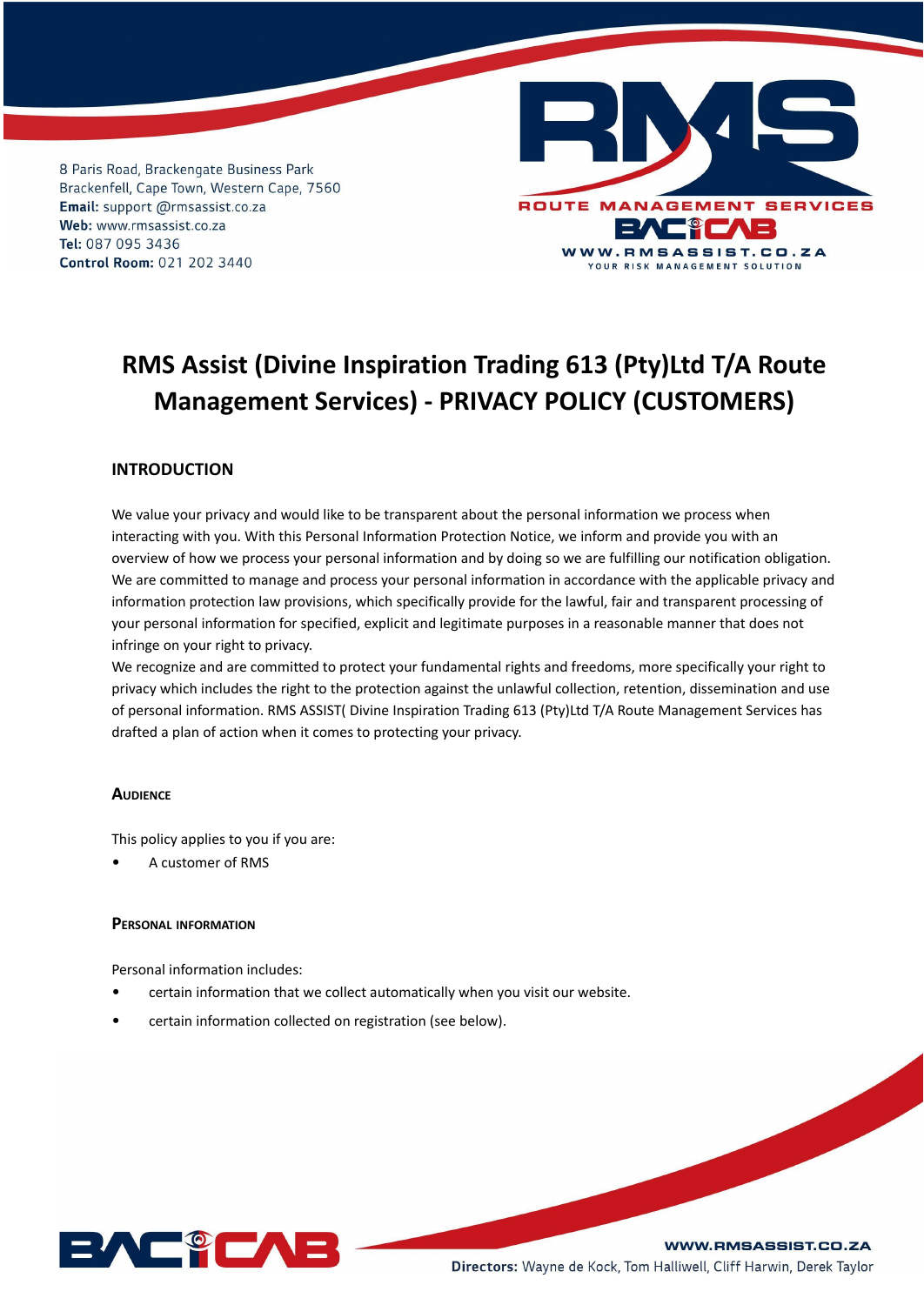

# **RMS Assist (Divine Inspiration Trading 613 (Pty)Ltd T/A Route Management Services) - PRIVACY POLICY (CUSTOMERS)**

# **INTRODUCTION**

We value your privacy and would like to be transparent about the personal information we process when interacting with you. With this Personal Information Protection Notice, we inform and provide you with an overview of how we process your personal information and by doing so we are fulfilling our notification obligation. We are committed to manage and process your personal information in accordance with the applicable privacy and information protection law provisions, which specifically provide for the lawful, fair and transparent processing of your personal information for specified, explicit and legitimate purposes in a reasonable manner that does not infringe on your right to privacy.

We recognize and are committed to protect your fundamental rights and freedoms, more specifically your right to privacy which includes the right to the protection against the unlawful collection, retention, dissemination and use of personal information. RMS ASSIST( Divine Inspiration Trading 613 (Pty)Ltd T/A Route Management Services has drafted a plan of action when it comes to protecting your privacy.

## **AUDIENCE**

This policy applies to you if you are:

• A customer of RMS

# **PERSONAL INFORMATION**

Personal information includes:

- certain information that we collect automatically when you visit our website.
- certain information collected on registration (see below).

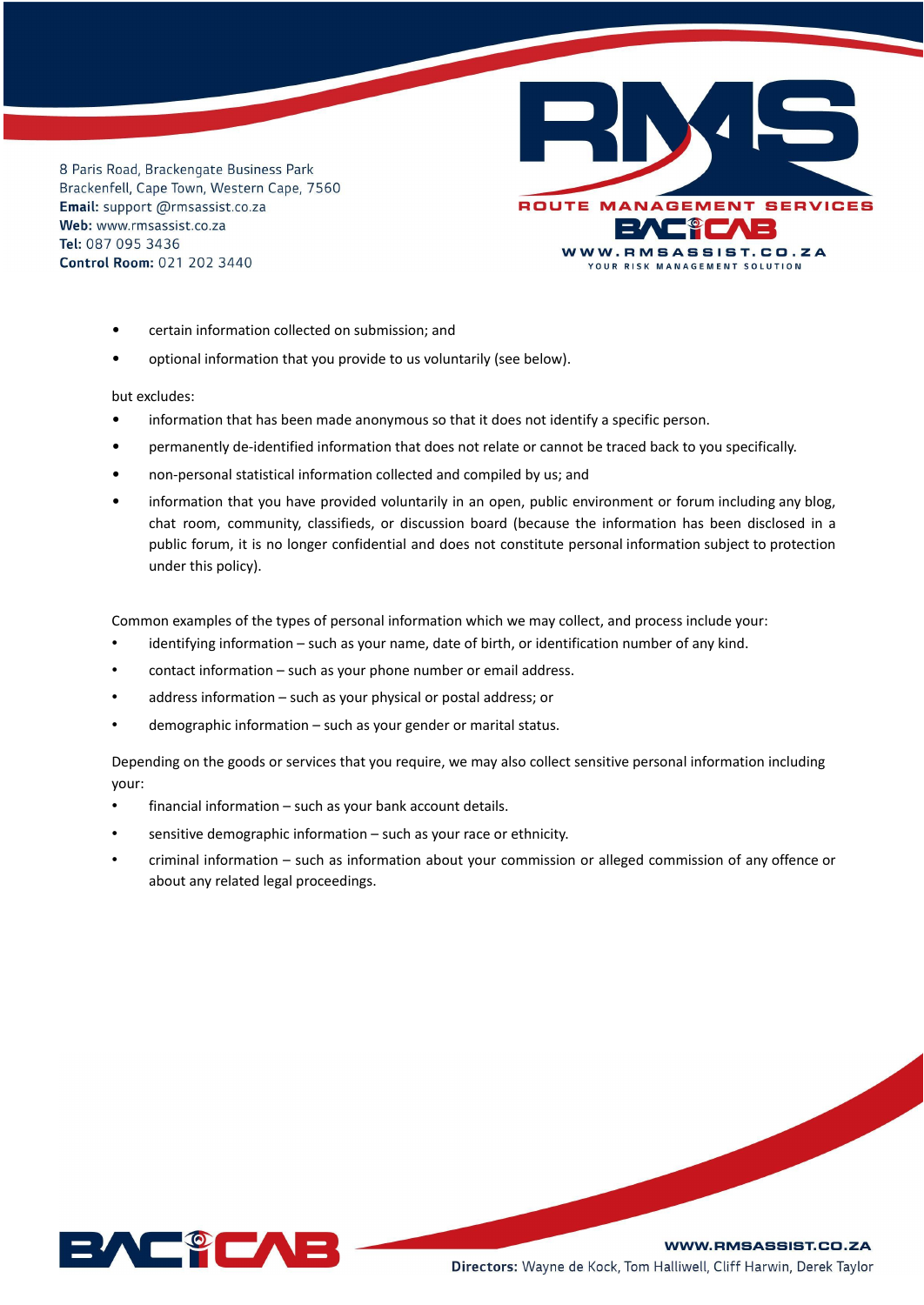

- certain information collected on submission; and
- optional information that you provide to us voluntarily (see below).

but excludes:

- information that has been made anonymous so that it does not identify a specific person.
- permanently de-identified information that does not relate or cannot be traced back to you specifically.
- non-personal statistical information collected and compiled by us; and
- information that you have provided voluntarily in an open, public environment or forum including any blog, chat room, community, classifieds, or discussion board (because the information has been disclosed in a public forum, it is no longer confidential and does not constitute personal information subject to protection under this policy).

Common examples of the types of personal information which we may collect, and process include your:

- identifying information such as your name, date of birth, or identification number of any kind.
- contact information such as your phone number or email address.
- address information such as your physical or postal address; or
- demographic information such as your gender or marital status.

Depending on the goods or services that you require, we may also collect sensitive personal information including your:

- financial information such as your bank account details.
- sensitive demographic information such as your race or ethnicity.
- criminal information such as information about your commission or alleged commission of any offence or about any related legal proceedings.

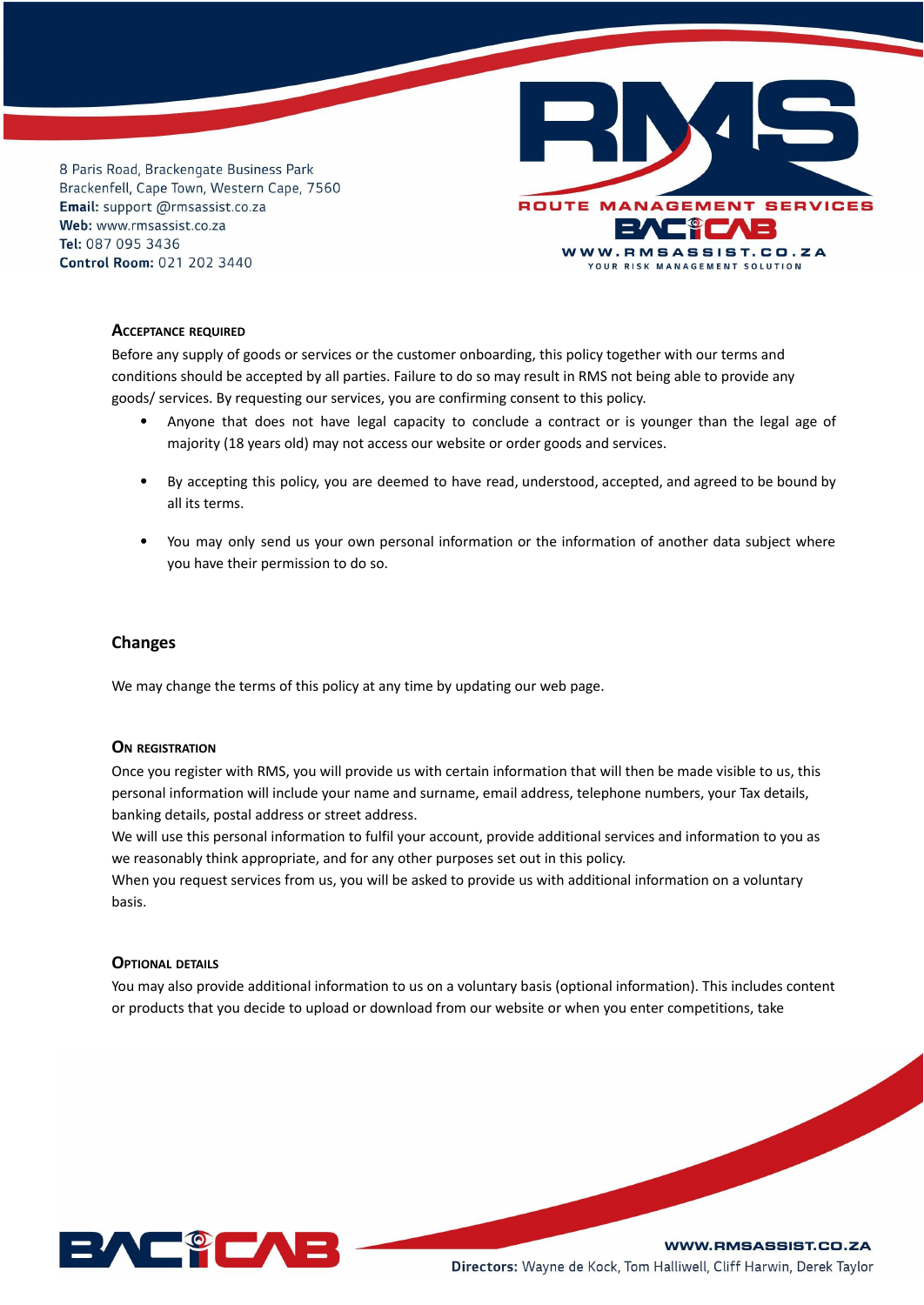

## **ACCEPTANCE REQUIRED**

Before any supply of goods or services or the customer onboarding, this policy together with our terms and conditions should be accepted by all parties. Failure to do so may result in RMS not being able to provide any goods/ services. By requesting our services, you are confirming consent to this policy.

- Anyone that does not have legal capacity to conclude a contract or is younger than the legal age of majority (18 years old) may not access our website or order goods and services.
- By accepting this policy, you are deemed to have read, understood, accepted, and agreed to be bound by all its terms.
- You may only send us your own personal information or the information of another data subject where you have their permission to do so.

# **Changes**

We may change the terms of this policy at any time by updating our web page.

#### **O<sup>N</sup> REGISTRATION**

Once you register with RMS, you will provide us with certain information that will then be made visible to us, this personal information will include your name and surname, email address, telephone numbers, your Tax details, banking details, postal address or street address.

We will use this personal information to fulfil your account, provide additional services and information to you as we reasonably think appropriate, and for any other purposes set out in this policy.

When you request services from us, you will be asked to provide us with additional information on a voluntary basis.

# **OPTIONAL DETAILS**

You may also provide additional information to us on a voluntary basis (optional information). This includes content or products that you decide to upload or download from our website or when you enter competitions, take

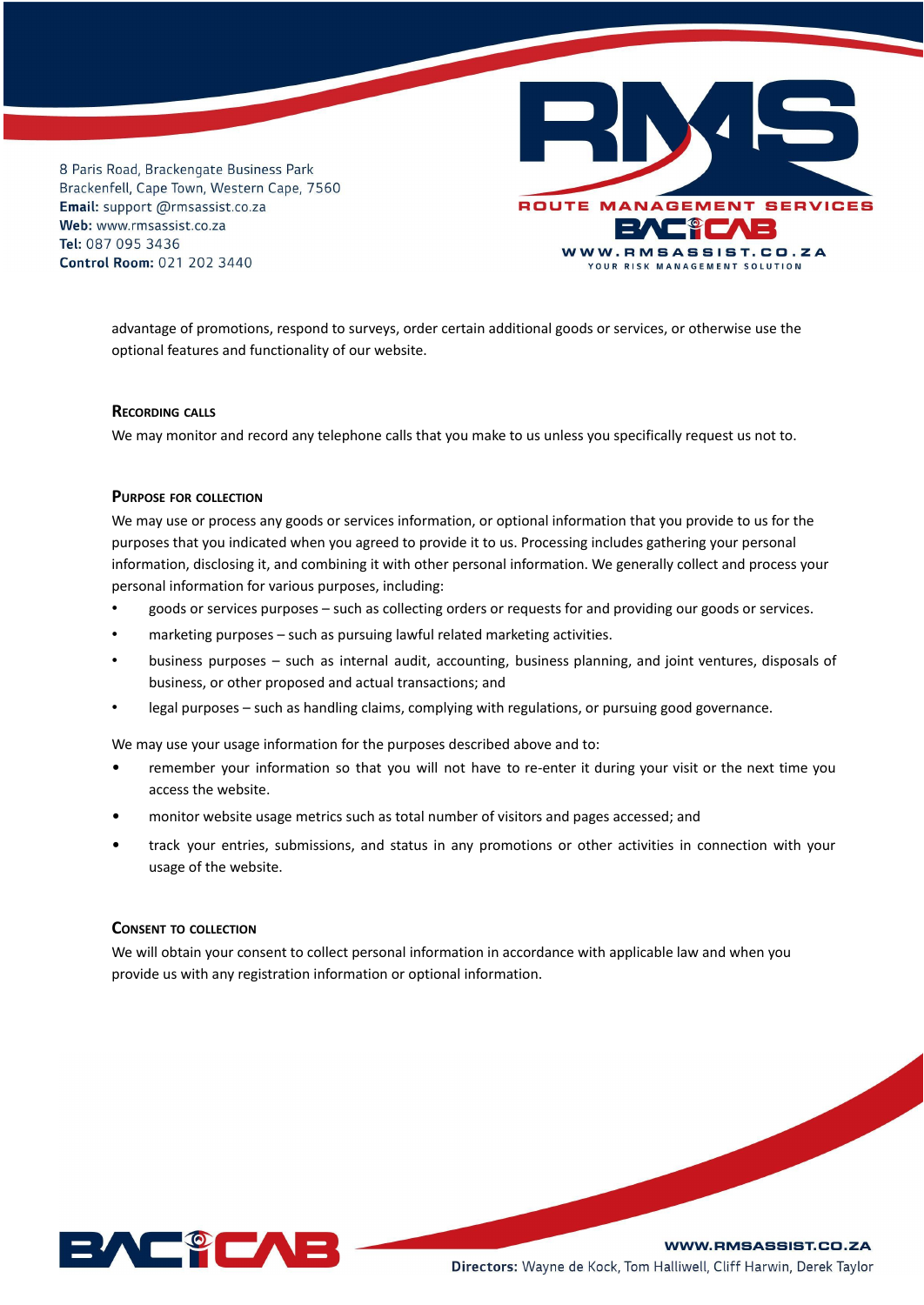

advantage of promotions, respond to surveys, order certain additional goods or services, or otherwise use the optional features and functionality of our website.

#### **RECORDING CALLS**

We may monitor and record any telephone calls that you make to us unless you specifically request us not to.

#### **PURPOSE FOR COLLECTION**

We may use or process any goods or services information, or optional information that you provide to us for the purposes that you indicated when you agreed to provide it to us. Processing includes gathering your personal information, disclosing it, and combining it with other personal information. We generally collect and process your personal information for various purposes, including:

- goods or services purposes such as collecting orders or requests for and providing our goods or services.
- marketing purposes such as pursuing lawful related marketing activities.
- business purposes such as internal audit, accounting, business planning, and joint ventures, disposals of business, or other proposed and actual transactions; and
- legal purposes such as handling claims, complying with regulations, or pursuing good governance.

We may use your usage information for the purposes described above and to:

- remember your information so that you will not have to re-enter it during your visit or the next time you access the website.
- monitor website usage metrics such as total number of visitors and pages accessed; and
- track your entries, submissions, and status in any promotions or other activities in connection with your usage of the website.

# **CONSENT TO COLLECTION**

We will obtain your consent to collect personal information in accordance with applicable law and when you provide us with any registration information or optional information.

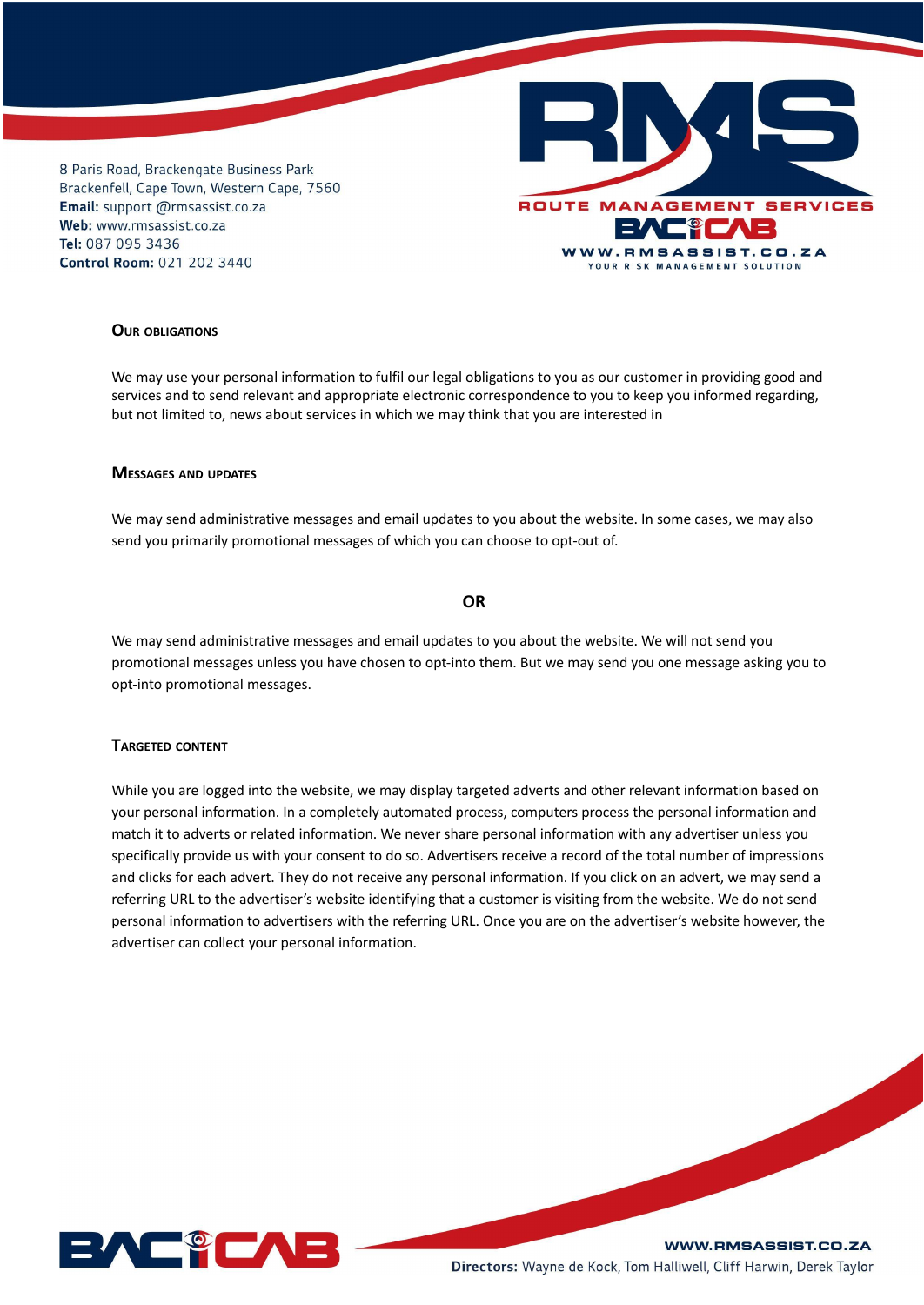

# **OUR OBLIGATIONS**

We may use your personal information to fulfil our legal obligations to you as our customer in providing good and services and to send relevant and appropriate electronic correspondence to you to keep you informed regarding, but not limited to, news about services in which we may think that you are interested in

#### **MESSAGES AND UPDATES**

We may send administrative messages and email updates to you about the website. In some cases, we may also send you primarily promotional messages of which you can choose to opt-out of.

# **OR**

We may send administrative messages and email updates to you about the website. We will not send you promotional messages unless you have chosen to opt-into them. But we may send you one message asking you to opt-into promotional messages.

## **TARGETED CONTENT**

While you are logged into the website, we may display targeted adverts and other relevant information based on your personal information. In a completely automated process, computers process the personal information and match it to adverts or related information. We never share personal information with any advertiser unless you specifically provide us with your consent to do so. Advertisers receive a record of the total number of impressions and clicks for each advert. They do not receive any personal information. If you click on an advert, we may send a referring URL to the advertiser's website identifying that a customer is visiting from the website. We do not send personal information to advertisers with the referring URL. Once you are on the advertiser's website however, the advertiser can collect your personal information.

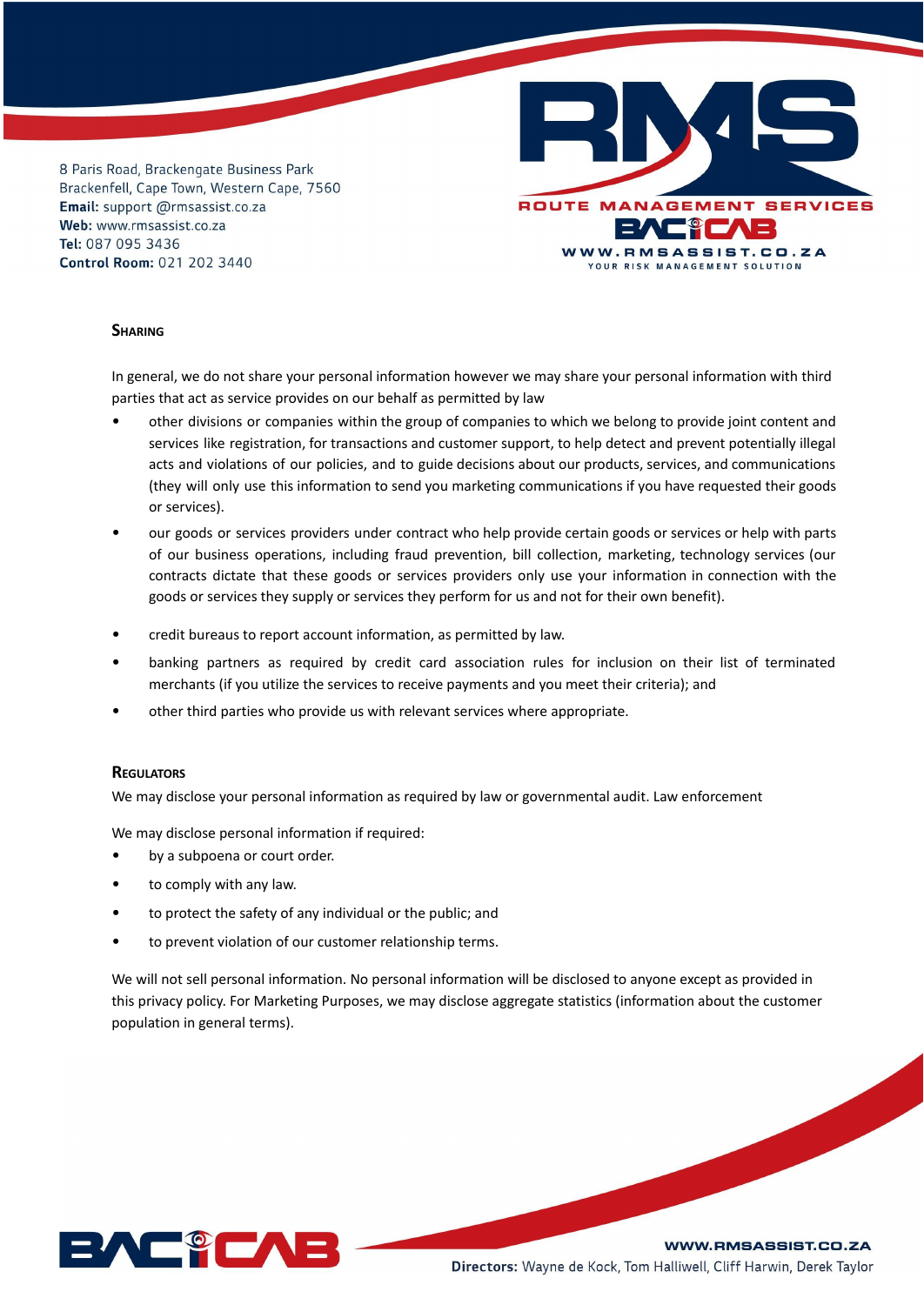

## **SHARING**

In general, we do not share your personal information however we may share your personal information with third parties that act as service provides on our behalf as permitted by law

- other divisions or companies within the group of companies to which we belong to provide joint content and services like registration, for transactions and customer support, to help detect and prevent potentially illegal acts and violations of our policies, and to guide decisions about our products, services, and communications (they will only use this information to send you marketing communications if you have requested their goods or services).
- our goods or services providers under contract who help provide certain goods or services or help with parts of our business operations, including fraud prevention, bill collection, marketing, technology services (our contracts dictate that these goods or services providers only use your information in connection with the goods or services they supply or services they perform for us and not for their own benefit).
- credit bureaus to report account information, as permitted by law.
- banking partners as required by credit card association rules for inclusion on their list of terminated merchants (if you utilize the services to receive payments and you meet their criteria); and
- other third parties who provide us with relevant services where appropriate.

#### **REGULATORS**

We may disclose your personal information as required by law or governmental audit. Law enforcement

We may disclose personal information if required:

- by a subpoena or court order.
- to comply with any law.
- to protect the safety of any individual or the public; and
- to prevent violation of our customer relationship terms.

We will not sell personal information. No personal information will be disclosed to anyone except as provided in this privacy policy. For Marketing Purposes, we may disclose aggregate statistics (information about the customer population in general terms).

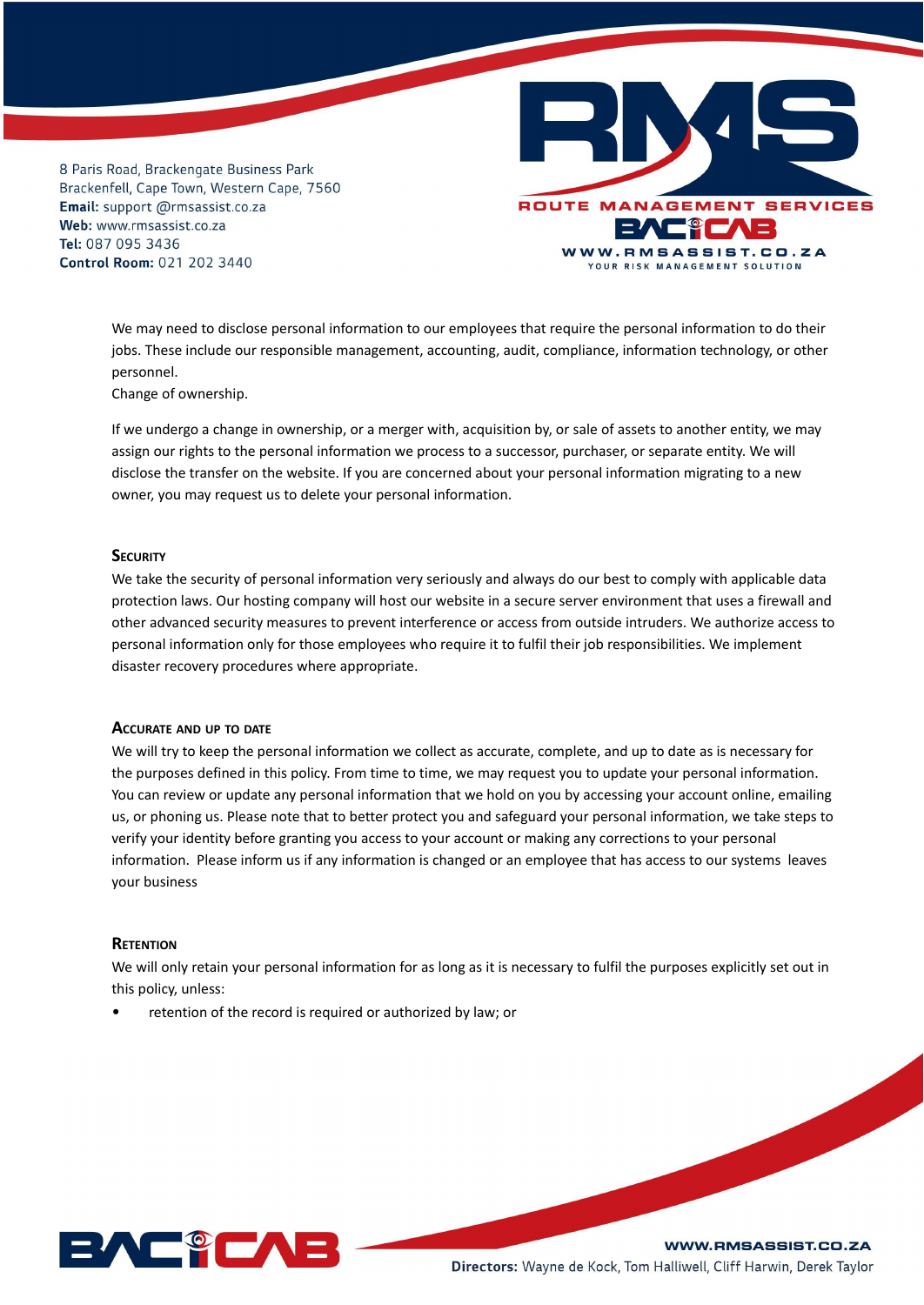

We may need to disclose personal information to our employees that require the personal information to do their jobs. These include our responsible management, accounting, audit, compliance, information technology, or other personnel.

Change of ownership.

If we undergo a change in ownership, or a merger with, acquisition by, or sale of assets to another entity, we may assign our rights to the personal information we process to a successor, purchaser, or separate entity. We will disclose the transfer on the website. If you are concerned about your personal information migrating to a new owner, you may request us to delete your personal information.

#### **SECURITY**

We take the security of personal information very seriously and always do our best to comply with applicable data protection laws. Our hosting company will host our website in a secure server environment that uses a firewall and other advanced security measures to prevent interference or access from outside intruders. We authorize access to personal information only for those employees who require it to fulfil their job responsibilities. We implement disaster recovery procedures where appropriate.

#### **ACCURATE AND UP TO DATE**

We will try to keep the personal information we collect as accurate, complete, and up to date as is necessary for the purposes defined in this policy. From time to time, we may request you to update your personal information. You can review or update any personal information that we hold on you by accessing your account online, emailing us, or phoning us. Please note that to better protect you and safeguard your personal information, we take steps to verify your identity before granting you access to your account or making any corrections to your personal information. Please inform us if any information is changed or an employee that has access to our systems leaves your business

# **RETENTION**

We will only retain your personal information for as long as it is necessary to fulfil the purposes explicitly set out in this policy, unless:

retention of the record is required or authorized by law; or